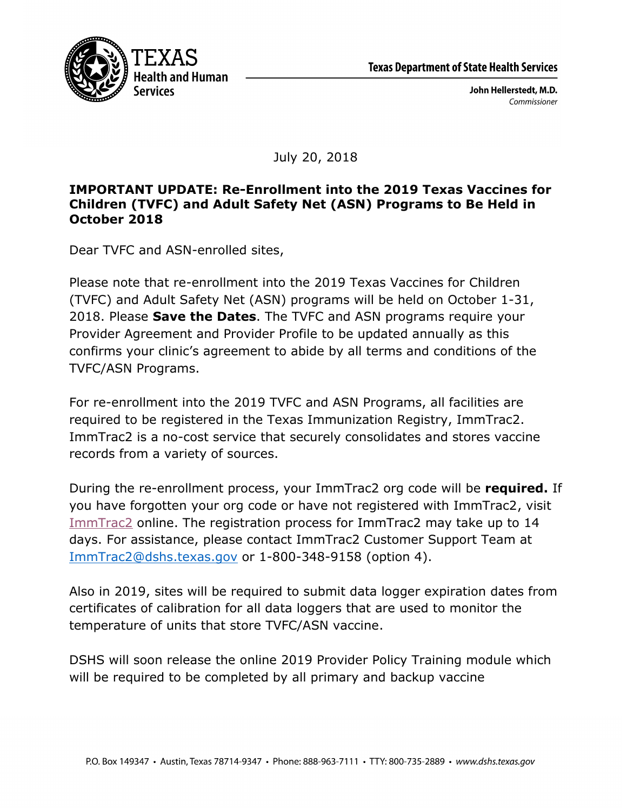

John Hellerstedt, M.D. Commissioner

July 20, 2018

## **IMPORTANT UPDATE: Re-Enrollment into the 2019 Texas Vaccines for Children (TVFC) and Adult Safety Net (ASN) Programs to Be Held in October 2018**

Dear TVFC and ASN-enrolled sites,

Please note that re-enrollment into the 2019 Texas Vaccines for Children (TVFC) and Adult Safety Net (ASN) programs will be held on October 1-31, 2018. Please **Save the Dates**. The TVFC and ASN programs require your Provider Agreement and Provider Profile to be updated annually as this confirms your clinic's agreement to abide by all terms and conditions of the TVFC/ASN Programs.

For re-enrollment into the 2019 TVFC and ASN Programs, all facilities are required to be registered in the Texas Immunization Registry, ImmTrac2. ImmTrac2 is a no-cost service that securely consolidates and stores vaccine records from a variety of sources.

During the re-enrollment process, your ImmTrac2 org code will be **required.** If you have forgotten your org code or have not registered with ImmTrac2, visit [ImmTrac2](https://www.dshs.texas.gov/immunize/immtrac/) online. The registration process for ImmTrac2 may take up to 14 days. For assistance, please contact ImmTrac2 Customer Support Team at ImmTrac2@dshs.texas.gov or 1-800-348-9158 (option 4).

Also in 2019, sites will be required to submit data logger expiration dates from certificates of calibration for all data loggers that are used to monitor the temperature of units that store TVFC/ASN vaccine.

DSHS will soon release the online 2019 Provider Policy Training module which will be required to be completed by all primary and backup vaccine